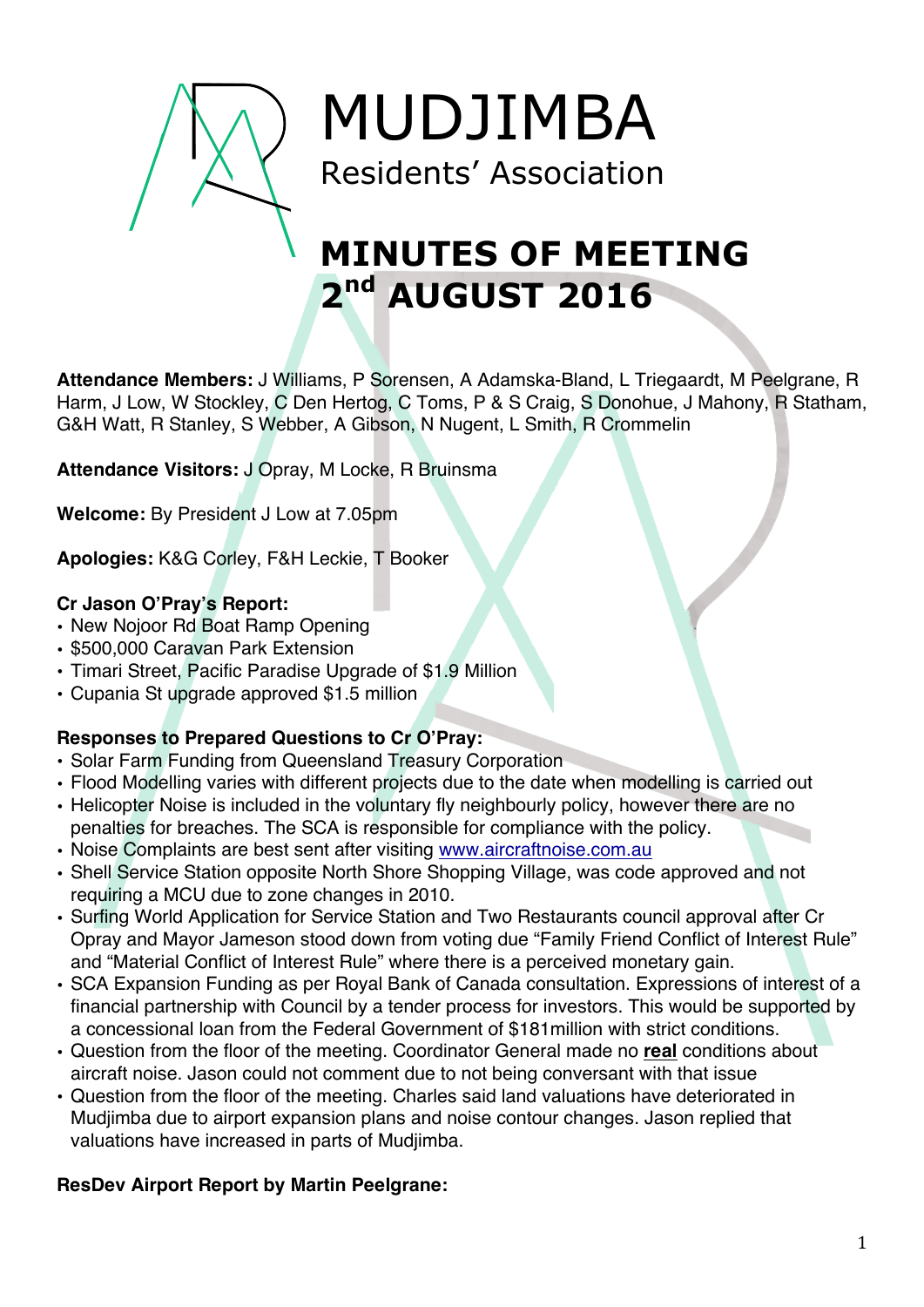

MUDJIMBA Residents' Association

# **MINUTES OF MEETING 2nd AUGUST 2016**

**Attendance Members:** J Williams, P Sorensen, A Adamska-Bland, L Triegaardt, M Peelgrane, R Harm, J Low, W Stockley, C Den Hertog, C Toms, P & S Craig, S Donohue, J Mahony, R Statham, G&H Watt, R Stanley, S Webber, A Gibson, N Nugent, L Smith, R Crommelin

**Attendance Visitors:** J Opray, M Locke, R Bruinsma

**Welcome:** By President J Low at 7.05pm

**Apologies:** K&G Corley, F&H Leckie, T Booker

## **Cr Jason O'Pray's Report:**

- New Nojoor Rd Boat Ramp Opening
- \$500,000 Caravan Park Extension
- Timari Street, Pacific Paradise Upgrade of \$1.9 Million
- Cupania St upgrade approved \$1.5 million

# **Responses to Prepared Questions to Cr O'Pray:**

- Solar Farm Funding from Queensland Treasury Corporation
- Flood Modelling varies with different projects due to the date when modelling is carried out
- Helicopter Noise is included in the voluntary fly neighbourly policy, however there are no penalties for breaches. The SCA is responsible for compliance with the policy.
- Noise Complaints are best sent after visiting www.aircraftnoise.com.au
- Shell Service Station opposite North Shore Shopping Village, was code approved and not requiring a MCU due to zone changes in 2010.
- Surfing World Application for Service Station and Two Restaurants council approval after Cr Opray and Mayor Jameson stood down from voting due "Family Friend Conflict of Interest Rule" and "Material Conflict of Interest Rule" where there is a perceived monetary gain.
- SCA Expansion Funding as per Royal Bank of Canada consultation. Expressions of interest of a financial partnership with Council by a tender process for investors. This would be supported by a concessional loan from the Federal Government of \$181million with strict conditions.
- Question from the floor of the meeting. Coordinator General made no **real** conditions about aircraft noise. Jason could not comment due to not being conversant with that issue
- Question from the floor of the meeting. Charles said land valuations have deteriorated in Mudjimba due to airport expansion plans and noise contour changes. Jason replied that valuations have increased in parts of Mudjimba.

# **ResDev Airport Report by Martin Peelgrane:**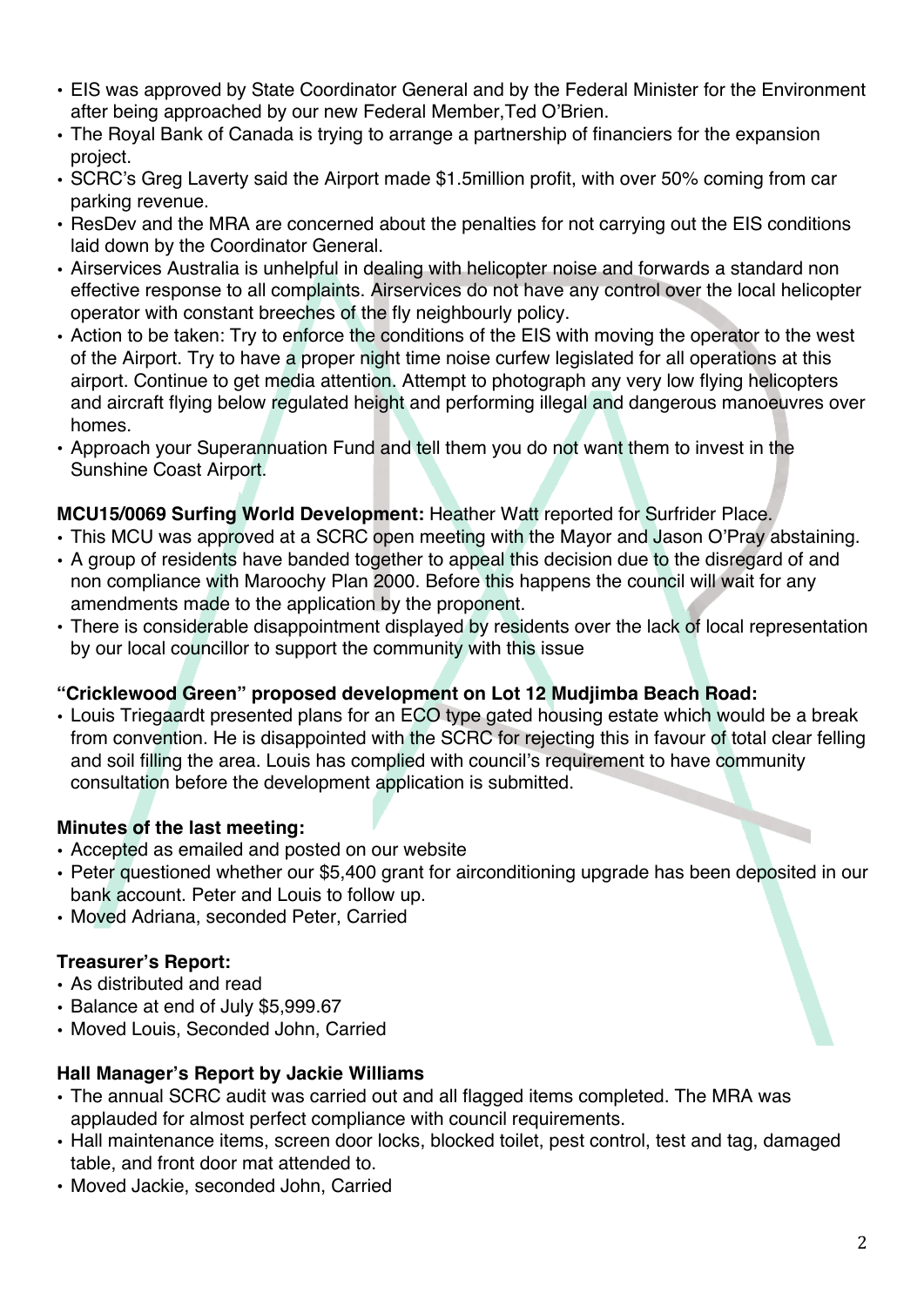- EIS was approved by State Coordinator General and by the Federal Minister for the Environment after being approached by our new Federal Member,Ted O'Brien.
- The Royal Bank of Canada is trying to arrange a partnership of financiers for the expansion project.
- SCRC's Greg Laverty said the Airport made \$1.5million profit, with over 50% coming from car parking revenue.
- ResDev and the MRA are concerned about the penalties for not carrying out the EIS conditions laid down by the Coordinator General.
- Airservices Australia is unhelpful in dealing with helicopter noise and forwards a standard non effective response to all complaints. Airservices do not have any control over the local helicopter operator with constant breeches of the fly neighbourly policy.
- Action to be taken: Try to enforce the conditions of the EIS with moving the operator to the west of the Airport. Try to have a proper night time noise curfew legislated for all operations at this airport. Continue to get media attention. Attempt to photograph any very low flying helicopters and aircraft flying below regulated height and performing illegal and dangerous manoeuvres over homes.
- Approach your Superannuation Fund and tell them you do not want them to invest in the Sunshine Coast Airport.

#### **MCU15/0069 Surfing World Development:** Heather Watt reported for Surfrider Place.

- This MCU was approved at a SCRC open meeting with the Mayor and Jason O'Pray abstaining.
- A group of residents have banded together to appeal this decision due to the disregard of and non compliance with Maroochy Plan 2000. Before this happens the council will wait for any amendments made to the application by the proponent.
- There is considerable disappointment displayed by residents over the lack of local representation by our local councillor to support the community with this issue

### **"Cricklewood Green" proposed development on Lot 12 Mudjimba Beach Road:**

• Louis Triegaardt presented plans for an ECO type gated housing estate which would be a break from convention. He is disappointed with the SCRC for rejecting this in favour of total clear felling and soil filling the area. Louis has complied with council's requirement to have community consultation before the development application is submitted.

#### **Minutes of the last meeting:**

- Accepted as emailed and posted on our website
- Peter questioned whether our \$5,400 grant for airconditioning upgrade has been deposited in our bank account. Peter and Louis to follow up.
- Moved Adriana, seconded Peter, Carried

### **Treasurer's Report:**

- As distributed and read
- Balance at end of July \$5,999.67
- Moved Louis, Seconded John, Carried

### **Hall Manager's Report by Jackie Williams**

- The annual SCRC audit was carried out and all flagged items completed. The MRA was applauded for almost perfect compliance with council requirements.
- Hall maintenance items, screen door locks, blocked toilet, pest control, test and tag, damaged table, and front door mat attended to.
- Moved Jackie, seconded John, Carried